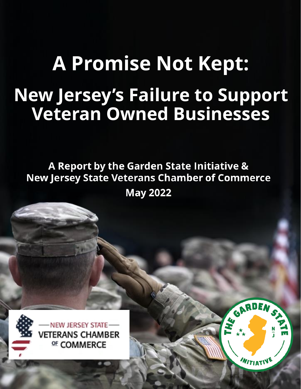# **A Promise Not Kept: New Jersey's Failure to Support Veteran Owned Businesses**

## A Report by the Garden State Initiative & **New Jersey State Veterans Chamber of Commerce May 2022**

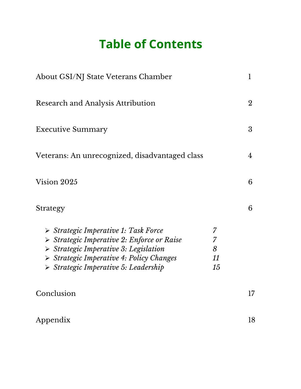## **Table of Contents**

| About GSI/NJ State Veterans Chamber                                                                                                                                                                                                                                       |                         |                |
|---------------------------------------------------------------------------------------------------------------------------------------------------------------------------------------------------------------------------------------------------------------------------|-------------------------|----------------|
| <b>Research and Analysis Attribution</b>                                                                                                                                                                                                                                  |                         | $\overline{2}$ |
| <b>Executive Summary</b>                                                                                                                                                                                                                                                  |                         | 3              |
| Veterans: An unrecognized, disadvantaged class                                                                                                                                                                                                                            |                         | 4              |
| Vision 2025                                                                                                                                                                                                                                                               |                         | 6              |
| Strategy                                                                                                                                                                                                                                                                  |                         | 6              |
| Strategic Imperative 1: Task Force<br>$\triangleright$ Strategic Imperative 2: Enforce or Raise<br>$\triangleright$ Strategic Imperative 3: Legislation<br>$\triangleright$ Strategic Imperative 4: Policy Changes<br>$\triangleright$ Strategic Imperative 5: Leadership | 7<br>7<br>8<br>11<br>15 |                |
| Conclusion                                                                                                                                                                                                                                                                |                         | 17             |
| Appendix                                                                                                                                                                                                                                                                  |                         | 18             |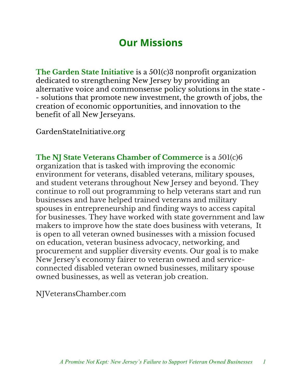## **Our Missions**

**The Garden State Initiative** is a 501(c)3 nonprofit organization dedicated to strengthening New Jersey by providing an alternative voice and commonsense policy solutions in the state - - solutions that promote new investment, the growth of jobs, the creation of economic opportunities, and innovation to the benefit of all New Jerseyans.

GardenStateInitiative.org

**The NJ State Veterans Chamber of Commerce** is a 501(c)6 organization that is tasked with improving the economic environment for veterans, disabled veterans, military spouses, and student veterans throughout New Jersey and beyond. They continue to roll out programming to help veterans start and run businesses and have helped trained veterans and military spouses in entrepreneurship and finding ways to access capital for businesses. They have worked with state government and law makers to improve how the state does business with veterans, It is open to all veteran owned businesses with a mission focused on education, veteran business advocacy, networking, and procurement and supplier diversity events. Our goal is to make New Jersey's economy fairer to veteran owned and serviceconnected disabled veteran owned businesses, military spouse owned businesses, as well as veteran job creation.

NJVeteransChamber.com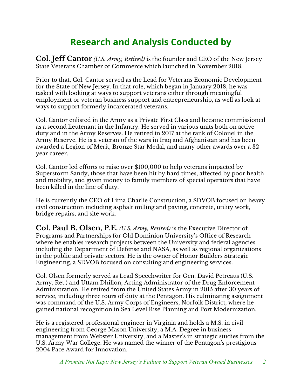## **Research and Analysis Conducted by**

**Col. Jeff Cantor** *(U.S. Army, Retired)* is the founder and CEO of the New Jersey State Veterans Chamber of Commerce which launched in November 2018.

Prior to that, Col. Cantor served as the Lead for Veterans Economic Development for the State of New Jersey. In that role, which began in January 2018, he was tasked with looking at ways to support veterans either through meaningful employment or veteran business support and entrepreneurship, as well as look at ways to support formerly incarcerated veterans.

Col. Cantor enlisted in the Army as a Private First Class and became commissioned as a second lieutenant in the Infantry. He served in various units both on active duty and in the Army Reserves. He retired in 2017 at the rank of Colonel in the Army Reserve. He is a veteran of the wars in Iraq and Afghanistan and has been awarded a Legion of Merit, Bronze Star Medal, and many other awards over a 32 year career.

Col. Cantor led efforts to raise over \$100,000 to help veterans impacted by Superstorm Sandy, those that have been hit by hard times, affected by poor health and mobility, and given money to family members of special operators that have been killed in the line of duty.

He is currently the CEO of Lima Charlie Construction, a SDVOB focused on heavy civil construction including asphalt milling and paving, concrete, utility work, bridge repairs, and site work.

**Col. Paul B. Olsen, P.E.** *(U.S. Army, Retired)* is the Executive Director of Programs and Partnerships for Old Dominion University's Office of Research where he enables research projects between the University and federal agencies including the Department of Defense and NASA, as well as regional organizations in the public and private sectors. He is the owner of Honor Builders Strategic Engineering, a SDVOB focused on consulting and engineering services.

Col. Olsen formerly served as Lead Speechwriter for Gen. David Petreaus (U.S. Army, Ret.) and Uttam Dhillon, Acting Administrator of the Drug Enforcement Administration. He retired from the United States Army in 2015 after 30 years of service, including three tours of duty at the Pentagon. His culminating assignment was command of the U.S. Army Corps of Engineers, Norfolk District, where he gained national recognition in Sea Level Rise Planning and Port Modernization.

He is a registered professional engineer in Virginia and holds a M.S. in civil engineering from George Mason University, a M.A. Degree in business management from Webster University, and a Master's in strategic studies from the U.S. Army War College. He was named the winner of the Pentagon's prestigious 2004 Pace Award for Innovation.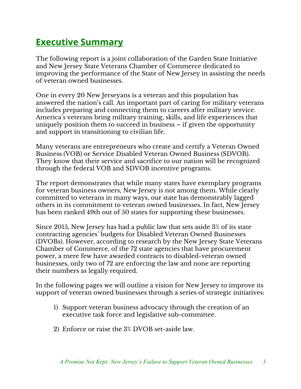## **Executive Summary**

The following report is a joint collaboration of the Garden State Initiative and New Jersey State Veterans Chamber of Commerce dedicated to improving the performance of the State of New Jersey in assisting the needs of veteran owned businesses.

One in every 20 New Jerseyans is a veteran and this population has answered the nation's call. An important part of caring for military veterans includes preparing and connecting them to careers after military service. America's veterans bring military training, skills, and life experiences that uniquely position them to succeed in business – if given the opportunity and support in transitioning to civilian life.

Many veterans are entrepreneurs who create and certify a Veteran Owned Business (VOB) or Service Disabled Veteran Owned Business (SDVOB). They know that their service and sacrifice to our nation will be recognized through the federal VOB and SDVOB incentive programs.

The report demonstrates that while many states have exemplary programs for veteran business owners, New Jersey is not among them. While clearly committed to veterans in many ways, our state has demonstrably lagged others in its commitment to veteran owned businesses. In fact, New Jersey has been ranked 49th out of 50 states for supporting these businesses.

Since 2015, New Jersey has had a public law that sets aside 3% of its state contracting agencies' budgets for Disabled Veteran Owned Businesses (DVOBs). However, according to research by the New Jersey State Veterans Chamber of Commerce, of the 72 state agencies that have procurement power, a mere few have awarded contracts to disabled-veteran owned businesses, only two of 72 are enforcing the law and none are reporting their numbers as legally required.

In the following pages we will outline a vision for New Jersey to improve its support of veteran owned businesses through a series of strategic initiatives:

- 1) Support veteran business advocacy through the creation of an executive task force and legislative sub-committee.
- 2) Enforce or raise the 3% DVOB set-aside law.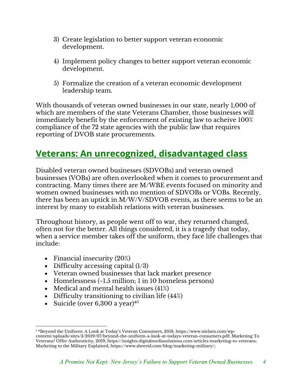- 3) Create legislation to better support veteran economic development.
- 4) Implement policy changes to better support veteran economic development.
- 5) Formalize the creation of a veteran economic development leadership team.

With thousands of veteran owned businesses in our state, nearly 1,000 of which are members of the state Veterans Chamber, those businesses will immediately benefit by the enforcement of existing law to acheive 100% compliance of the 72 state agencies with the public law that requires reporting of DVOB state procurements.

## **Veterans: An unrecognized, disadvantaged class**

Disabled veteran owned businesses (SDVOBs) and veteran owned businesses (VOBs) are often overlooked when it comes to procurement and contracting. Many times there are M/WBE events focused on minority and women owned businesses with no mention of SDVOBs or VOBs. Recently, there has been an uptick in M/W/V/SDVOB events, as there seems to be an interest by many to establish relations with veteran businesses.

Throughout history, as people went off to war, they returned changed, often not for the better. All things considered, it is a tragedy that today, when a service member takes off the uniform, they face life challenges that include:

- Financial insecurity (20%)
- Difficulty accessing capital  $(1/3)$
- Veteran owned businesses that lack market presence
- Homelessness (~1.5 million; 1 in 10 homeless persons)
- Medical and mental health issues (41%)
- Difficulty transitioning to civilian life (44%)
- Suicide (over  $6,300$  a year) $*1$

<sup>1</sup> \*Beyond the Uniform: A Look at Today's Veteran Consumers, 2018, https://www.nielsen.com/wpcontent/uploads/sites/3/2019/07/beyond-the-uniform-a-look-at-todays-veteran-consumers.pdf; Marketing To Veterans? Offer Authenticity, 2019, https://insights.digitalmediasolutions.com/articles/marketing-to-veterans; Marketing to the Military Explained, https://www.sheerid.com/blog/marketing-military/;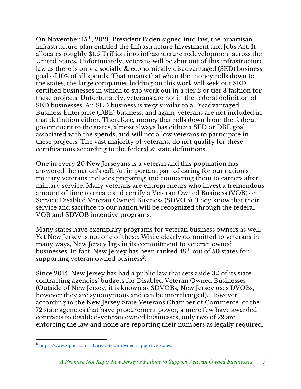On November 15th, 2021, President Biden signed into law, the bipartisan infrastructure plan entitled the Infrastructure Investment and Jobs Act. It allocates roughly \$1.5 Trillion into infrastructure redevelopment across the United States. Unfortunately, veterans will be shut out of this infrastructure law as there is only a socially & economically disadvantaged (SED) business goal of 10% of all spends. That means that when the money rolls down to the states, the large companies bidding on this work will seek out SED certified businesses in which to sub work out in a tier 2 or tier 3 fashion for these projects. Unfortunately, veterans are not in the federal definition of SED businesses. An SED business is very similar to a Disadvantaged Business Enterprise (DBE) business, and again, veterans are not included in that definition either. Therefore, money that rolls down from the federal government to the states, almost always has either a SED or DBE goal associated with the spends, and will not allow veterans to participate in these projects. The vast majority of veterans, do not qualify for these certifications according to the federal & state definitions.

One in every 20 New Jerseyans is a veteran and this population has answered the nation's call. An important part of caring for our nation's military veterans includes preparing and connecting them to careers after military service. Many veterans are entrepreneurs who invest a tremendous amount of time to create and certify a Veteran Owned Business (VOB) or Service Disabled Veteran Owned Business (SDVOB). They know that their service and sacrifice to our nation will be recognized through the federal VOB and SDVOB incentive programs.

Many states have exemplary programs for veteran business owners as well. Yet New Jersey is not one of these. While clearly committed to veterans in many ways, New Jersey lags in its commitment to veteran owned businesses. In fact, New Jersey has been ranked 49<sup>th</sup> out of 50 states for supporting veteran owned business<sup>2</sup>.

Since 2015, New Jersey has had a public law that sets aside 3% of its state contracting agencies' budgets for Disabled Veteran Owned Businesses (Outside of New Jersey, it is known as SDVOBs, New Jersey uses DVOBs, however they are synonymous and can be interchanged). However, according to the New Jersey State Veterans Chamber of Commerce, of the 72 state agencies that have procurement power, a mere few have awarded contracts to disabled-veteran owned businesses, only two of 72 are enforcing the law and none are reporting their numbers as legally required.

<sup>2</sup> https://www.zippia.com/advice/veteran-owned-supportive-states/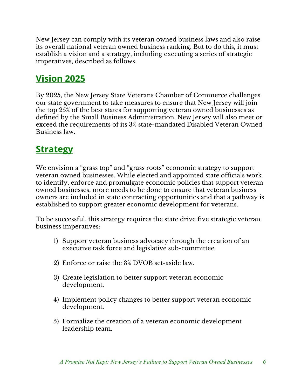New Jersey can comply with its veteran owned business laws and also raise its overall national veteran owned business ranking. But to do this, it must establish a vision and a strategy, including executing a series of strategic imperatives, described as follows:

## **Vision 2025**

By 2025, the New Jersey State Veterans Chamber of Commerce challenges our state government to take measures to ensure that New Jersey will join the top 25% of the best states for supporting veteran owned businesses as defined by the Small Business Administration. New Jersey will also meet or exceed the requirements of its 3% state-mandated Disabled Veteran Owned Business law.

### **Strategy**

We envision a "grass top" and "grass roots" economic strategy to support veteran owned businesses. While elected and appointed state officials work to identify, enforce and promulgate economic policies that support veteran owned businesses, more needs to be done to ensure that veteran business owners are included in state contracting opportunities and that a pathway is established to support greater economic development for veterans.

To be successful, this strategy requires the state drive five strategic veteran business imperatives:

- 1) Support veteran business advocacy through the creation of an executive task force and legislative sub-committee.
- 2) Enforce or raise the 3% DVOB set-aside law.
- 3) Create legislation to better support veteran economic development.
- 4) Implement policy changes to better support veteran economic development.
- 5) Formalize the creation of a veteran economic development leadership team.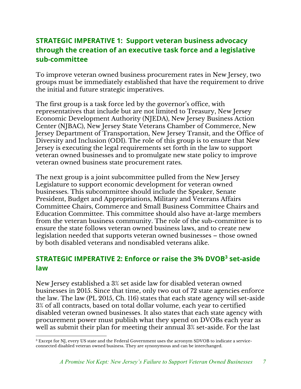#### **STRATEGIC IMPERATIVE 1: Support veteran business advocacy through the creation of an executive task force and a legislative sub-committee**

To improve veteran owned business procurement rates in New Jersey, two groups must be immediately established that have the requirement to drive the initial and future strategic imperatives.

The first group is a task force led by the governor's office, with representatives that include but are not limited to Treasury, New Jersey Economic Development Authority (NJEDA), New Jersey Business Action Center (NJBAC), New Jersey State Veterans Chamber of Commerce, New Jersey Department of Transportation, New Jersey Transit, and the Office of Diversity and Inclusion (ODI). The role of this group is to ensure that New Jersey is executing the legal requirements set forth in the law to support veteran owned businesses and to promulgate new state policy to improve veteran owned business state procurement rates.

The next group is a joint subcommittee pulled from the New Jersey Legislature to support economic development for veteran owned businesses. This subcommittee should include the Speaker, Senate President, Budget and Appropriations, Military and Veterans Affairs Committee Chairs, Commerce and Small Business Committee Chairs and Education Committee. This committee should also have at-large members from the veteran business community. The role of the sub-committee is to ensure the state follows veteran owned business laws, and to create new legislation needed that supports veteran owned businesses – those owned by both disabled veterans and nondisabled veterans alike.

#### **STRATEGIC IMPERATIVE 2: Enforce or raise the 3% DVOB3 set-aside law**

New Jersey established a 3% set aside law for disabled veteran owned businesses in 2015. Since that time, only two out of 72 state agencies enforce the law. The law (PL 2015, Ch. 116) states that each state agency will set-aside 3% of all contracts, based on total dollar volume, each year to certified disabled veteran owned businesses. It also states that each state agency with procurement power must publish what they spend on DVOBs each year as well as submit their plan for meeting their annual 3% set-aside. For the last

<sup>&</sup>lt;sup>3</sup> Except for NJ, every US state and the Federal Government uses the acronym SDVOB to indicate a serviceconnected disabled veteran owned business. They are synonymous and can be interchanged.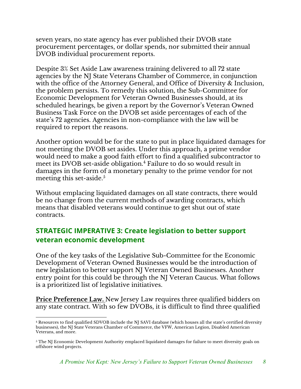seven years, no state agency has ever published their DVOB state procurement percentages, or dollar spends, nor submitted their annual DVOB individual procurement reports.

Despite 3% Set Aside Law awareness training delivered to all 72 state agencies by the NJ State Veterans Chamber of Commerce, in conjunction with the office of the Attorney General, and Office of Diversity & Inclusion, the problem persists. To remedy this solution, the Sub-Committee for Economic Development for Veteran Owned Businesses should, at its scheduled hearings, be given a report by the Governor's Veteran Owned Business Task Force on the DVOB set aside percentages of each of the state's 72 agencies. Agencies in non-compliance with the law will be required to report the reasons.

Another option would be for the state to put in place liquidated damages for not meeting the DVOB set asides. Under this approach, a prime vendor would need to make a good faith effort to find a qualified subcontractor to meet its DVOB set-aside obligation.<sup>4</sup> Failure to do so would result in damages in the form of a monetary penalty to the prime vendor for not meeting this set-aside. $5$ 

Without emplacing liquidated damages on all state contracts, there would be no change from the current methods of awarding contracts, which means that disabled veterans would continue to get shut out of state contracts.

#### **STRATEGIC IMPERATIVE 3: Create legislation to better support veteran economic development**

One of the key tasks of the Legislative Sub-Committee for the Economic Development of Veteran Owned Businesses would be the introduction of new legislation to better support NJ Veteran Owned Businesses. Another entry point for this could be through the NJ Veteran Caucus. What follows is a prioritized list of legislative initiatives.

**Price Preference Law.** New Jersey Law requires three qualified bidders on any state contract. With so few DVOBs, it is difficult to find three qualified

<sup>4</sup> Resources to find qualified SDVOB include the NJ SAVI database (which houses all the state's certified diversity businesses), the NJ State Veterans Chamber of Commerce, the VFW, American Legion, Disabled American Veterans, and more.

<sup>&</sup>lt;sup>5</sup> The NJ Economic Development Authority emplaced liquidated damages for failure to meet diversity goals on offshore wind projects.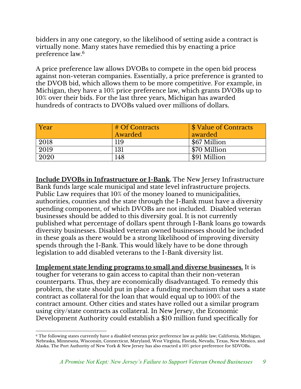bidders in any one category, so the likelihood of setting aside a contract is virtually none. Many states have remedied this by enacting a price preference law.6

A price preference law allows DVOBs to compete in the open bid process against non-veteran companies. Essentially, a price preference is granted to the DVOB bid, which allows them to be more competitive. For example, in Michigan, they have a 10% price preference law, which grants DVOBs up to 10% over their bids. For the last three years, Michigan has awarded hundreds of contracts to DVOBs valued over millions of dollars.

| Year | # Of Contracts | <i><b>\$ Value of Contracts</b></i> |
|------|----------------|-------------------------------------|
|      | Awarded        | awarded                             |
| 2018 | 119            | \$67 Million                        |
| 2019 | 131            | \$70 Million                        |
| 2020 | 148            | \$91 Million                        |

**Include DVOBs in Infrastructure or I-Bank.** The New Jersey Infrastructure Bank funds large scale municipal and state level infrastructure projects. Public Law requires that 10% of the money loaned to municipalities, authorities, counties and the state through the I-Bank must have a diversity spending component, of which DVOBs are not included. Disabled veteran businesses should be added to this diversity goal. It is not currently published what percentage of dollars spent through I-Bank loans go towards diversity businesses. Disabled veteran owned businesses should be included in these goals as there would be a strong likelihood of improving diversity spends through the I-Bank. This would likely have to be done through legislation to add disabled veterans to the I-Bank diversity list.

**Implement state lending programs to small and diverse businesses.** It is tougher for veterans to gain access to capital than their non-veteran counterparts. Thus, they are economically disadvantaged. To remedy this problem, the state should put in place a funding mechanism that uses a state contract as collateral for the loan that would equal up to 100% of the contract amount. Other cities and states have rolled out a similar program using city/state contracts as collateral. In New Jersey, the Economic Development Authority could establish a \$10 million fund specifically for

<sup>6</sup> The following states currently have a disabled veteran price preference law as public law; California, Michigan, Nebraska, Minnesota, Wisconsin, Connecticut, Maryland, West Virginia, Florida, Nevada, Texas, New Mexico, and Alaska. The Port Authority of New York & New Jersey has also enacted a 10% price preference for SDVOBs.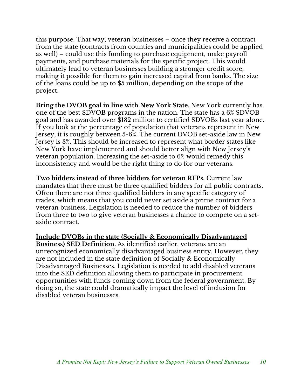this purpose. That way, veteran businesses – once they receive a contract from the state (contracts from counties and municipalities could be applied as well) – could use this funding to purchase equipment, make payroll payments, and purchase materials for the specific project. This would ultimately lead to veteran businesses building a stronger credit score, making it possible for them to gain increased capital from banks. The size of the loans could be up to \$5 million, depending on the scope of the project.

**Bring the DVOB goal in line with New York State.** New York currently has one of the best SDVOB programs in the nation. The state has a 6% SDVOB goal and has awarded over \$182 million to certified SDVOBs last year alone. If you look at the percentage of population that veterans represent in New Jersey, it is roughly between 5-6%. The current DVOB set-aside law in New Jersey is 3%. This should be increased to represent what border states like New York have implemented and should better align with New Jersey's veteran population. Increasing the set-aside to 6% would remedy this inconsistency and would be the right thing to do for our veterans.

**Two bidders instead of three bidders for veteran RFPs.** Current law mandates that there must be three qualified bidders for all public contracts. Often there are not three qualified bidders in any specific category of trades, which means that you could never set aside a prime contract for a veteran business. Legislation is needed to reduce the number of bidders from three to two to give veteran businesses a chance to compete on a setaside contract.

**Include DVOBs in the state (Socially & Economically Disadvantaged Business) SED Definition.** As identified earlier, veterans are an unrecognized economically disadvantaged business entity. However, they are not included in the state definition of Socially & Economically Disadvantaged Businesses. Legislation is needed to add disabled veterans into the SED definition allowing them to participate in procurement opportunities with funds coming down from the federal government. By doing so, the state could dramatically impact the level of inclusion for disabled veteran businesses.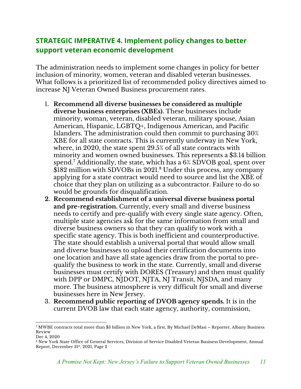#### **STRATEGIC IMPERATIVE 4. Implement policy changes to better support veteran economic development**

The administration needs to implement some changes in policy for better inclusion of minority, women, veteran and disabled veteran businesses. What follows is a prioritized list of recommended policy directives aimed to increase NJ Veteran Owned Business procurement rates.

- 1. **Recommend all diverse businesses be considered as multiple diverse business enterprises (XBEs).** These businesses include minority, woman, veteran, disabled veteran, military spouse, Asian American, Hispanic, LGBTQ+, Indigenous American, and Pacific Islanders. The administration could then commit to purchasing 30% XBE for all state contracts. This is currently underway in New York, where, in 2020, the state spent 29.5% of all state contracts with minority and women owned businesses. This represents a \$3.14 billion spend.<sup>7</sup> Additionally, the state, which has a 6% SDVOB goal, spent over \$182 million with SDVOBs in 2021.<sup>8</sup> Under this process, any company applying for a state contract would need to source and list the XBE of choice that they plan on utilizing as a subcontractor. Failure to do so would be grounds for disqualification.
- **2. Recommend establishment of a universal diverse business portal and pre-registration.** Currently, every small and diverse business needs to certify and pre-qualify with every single state agency. Often, multiple state agencies ask for the same information from small and diverse business owners so that they can qualify to work with a specific state agency. This is both inefficient and counterproductive. The state should establish a universal portal that would allow small and diverse businesses to upload their certification documents into one location and have all state agencies draw from the portal to prequalify the business to work in the state. Currently, small and diverse businesses must certify with DORES (Treasury) and then must qualify with DPP or DMPC, NJDOT, NJTA, NJ Transit, NJSDA, and many more. The business atmosphere is very difficult for small and diverse businesses here in New Jersey.
- 3. **Recommend public reporting of DVOB agency spends.** It is in the current DVOB law that each state agency, authority, commission,

<sup>7</sup> MWBE contracts total more than \$3 billion in New York, a first, By Michael DeMasi – Reporter, Albany Business Review Dec 4, 2020

<sup>8</sup> New York State Office of General Services, Division of Service Disabled Veteran Business Development, Annual Report, December 31st, 2021, Page 2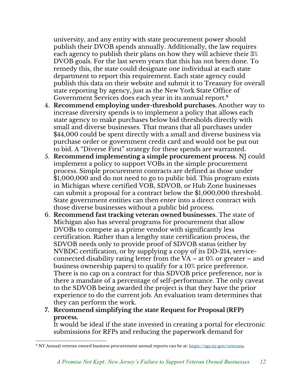university, and any entity with state procurement power should publish their DVOB spends annually. Additionally, the law requires each agency to publish their plans on how they will achieve their 3% DVOB goals. For the last seven years that this has not been done. To remedy this, the state could designate one individual at each state department to report this requirement. Each state agency could publish this data on their website and submit it to Treasury for overall state reporting by agency, just as the New York State Office of Government Services does each year in its annual report.9

- 4. **Recommend employing under-threshold purchases.** Another way to increase diversity spends is to implement a policy that allows each state agency to make purchases below bid thresholds directly with small and diverse businesses. That means that all purchases under \$44,000 could be spent directly with a small and diverse business via purchase order or government credit card and would not be put out to bid. A "Diverse First" strategy for these spends are warranted.
- 5. **Recommend implementing a simple procurement process**. NJ could implement a policy to support VOBs in the simple procurement process. Simple procurement contracts are defined as those under \$1,000,000 and do not need to go to public bid. This program exists in Michigan where certified VOB, SDVOB, or Hub Zone businesses can submit a proposal for a contract below the \$1,000,000 threshold. State government entities can then enter into a direct contract with those diverse businesses without a public bid process.
- 6. **Recommend fast tracking veteran owned businesses**. The state of Michigan also has several programs for procurement that allow DVOBs to compete as a prime vendor with significantly less certification. Rather than a lengthy state certification process, the SDVOB needs only to provide proof of SDVOB status (either by NVBDC certification, or by supplying a copy of its DD-214, serviceconnected disability rating letter from the VA – at  $0\%$  or greater – and business ownership papers) to qualify for a 10% price preference. There is no cap on a contract for this SDVOB price preference, nor is there a mandate of a percentage of self-performance. The only caveat to the SDVOB being awarded the project is that they have the prior experience to do the current job. An evaluation team determines that they can perform the work.
- **7. Recommend simplifying the state Request for Proposal (RFP) process.**

It would be ideal if the state invested in creating a portal for electronic submissions for RFPs and reducing the paperwork demand for

<sup>9</sup> NY Annual veteran owned business procurement annual reports can be at: https://ogs.ny.gov/veterans.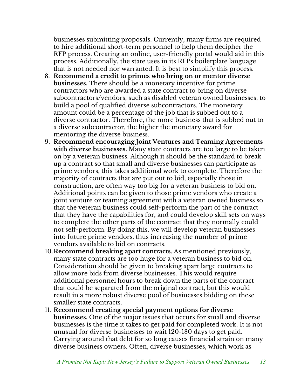businesses submitting proposals. Currently, many firms are required to hire additional short-term personnel to help them decipher the RFP process. Creating an online, user-friendly portal would aid in this process. Additionally, the state uses in its RFPs boilerplate language that is not needed nor warranted. It is best to simplify this process.

- 8. **Recommend a credit to primes who bring on or mentor diverse businesses.** There should be a monetary incentive for prime contractors who are awarded a state contract to bring on diverse subcontractors/vendors, such as disabled veteran owned businesses, to build a pool of qualified diverse subcontractors. The monetary amount could be a percentage of the job that is subbed out to a diverse contractor. Therefore, the more business that is subbed out to a diverse subcontractor, the higher the monetary award for mentoring the diverse business.
- 9. **Recommend encouraging Joint Ventures and Teaming Agreements with diverse businesses.** Many state contracts are too large to be taken on by a veteran business. Although it should be the standard to break up a contract so that small and diverse businesses can participate as prime vendors, this takes additional work to complete. Therefore the majority of contracts that are put out to bid, especially those in construction, are often way too big for a veteran business to bid on. Additional points can be given to those prime vendors who create a joint venture or teaming agreement with a veteran owned business so that the veteran business could self-perform the part of the contract that they have the capabilities for, and could develop skill sets on ways to complete the other parts of the contract that they normally could not self-perform. By doing this, we will develop veteran businesses into future prime vendors, thus increasing the number of prime vendors available to bid on contracts.
- 10.**Recommend breaking apart contracts.** As mentioned previously, many state contracts are too huge for a veteran business to bid on. Consideration should be given to breaking apart large contracts to allow more bids from diverse businesses. This would require additional personnel hours to break down the parts of the contract that could be separated from the original contract, but this would result in a more robust diverse pool of businesses bidding on these smaller state contracts.
- 11. **Recommend creating special payment options for diverse businesses.** One of the major issues that occurs for small and diverse businesses is the time it takes to get paid for completed work. It is not unusual for diverse businesses to wait 120-180 days to get paid. Carrying around that debt for so long causes financial strain on many diverse business owners. Often, diverse businesses, which work as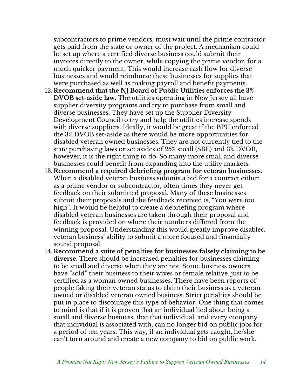subcontractors to prime vendors, must wait until the prime contractor gets paid from the state or owner of the project. A mechanism could be set up where a certified diverse business could submit their invoices directly to the owner, while copying the prime vendor, for a much quicker payment. This would increase cash flow for diverse businesses and would reimburse these businesses for supplies that were purchased as well as making payroll and benefit payments.

- 12. **Recommend that the NJ Board of Public Utilities enforces the 3% DVOB set-aside law.** The utilities operating in New Jersey all have supplier diversity programs and try to purchase from small and diverse businesses. They have set up the Supplier Diversity Development Council to try and help the utilities increase spends with diverse suppliers. Ideally, it would be great if the BPU enforced the 3% DVOB set-aside as there would be more opportunities for disabled veteran owned businesses. They are not currently tied to the state purchasing laws or set asides of 25% small (SBE) and 3% DVOB, however, it is the right thing to do. So many more small and diverse businesses could benefit from expanding into the utility markets.
- 13. **Recommend a required debriefing program for veteran businesses.** When a disabled veteran business submits a bid for a contract either as a prime vendor or subcontractor, often times they never get feedback on their submitted proposal. Many of these businesses submit their proposals and the feedback received is, "You were too high". It would be helpful to create a debriefing program where disabled veteran businesses are taken through their proposal and feedback is provided on where their numbers differed from the winning proposal. Understanding this would greatly improve disabled veteran business' ability to submit a more focused and financially sound proposal.
- 14. **Recommend a suite of penalties for businesses falsely claiming to be diverse.** There should be increased penalties for businesses claiming to be small and diverse when they are not. Some business owners have "sold" their business to their wives or female relative, just to be certified as a woman owned businesses. There have been reports of people faking their veteran status to claim their business as a veteran owned or disabled veteran owned business. Strict penalties should be put in place to discourage this type of behavior. One thing that comes to mind is that if it is proven that an individual lied about being a small and diverse business, that that individual, and every company that individual is associated with, can no longer bid on public jobs for a period of ten years. This way, if an individual gets caught, he/she can't turn around and create a new company to bid on public work.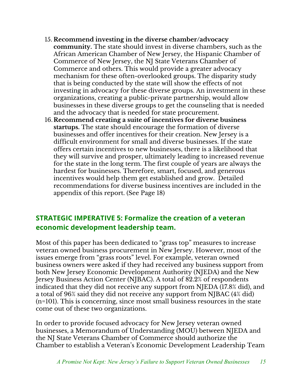- 15. **Recommend investing in the diverse chamber/advocacy community.** The state should invest in diverse chambers, such as the African American Chamber of New Jersey, the Hispanic Chamber of Commerce of New Jersey, the NJ State Veterans Chamber of Commerce and others. This would provide a greater advocacy mechanism for these often-overlooked groups. The disparity study that is being conducted by the state will show the effects of not investing in advocacy for these diverse groups. An investment in these organizations, creating a public-private partnership, would allow businesses in these diverse groups to get the counseling that is needed and the advocacy that is needed for state procurement.
- 16. **Recommend creating a suite of incentives for diverse business startups.** The state should encourage the formation of diverse businesses and offer incentives for their creation. New Jersey is a difficult environment for small and diverse businesses. If the state offers certain incentives to new businesses, there is a likelihood that they will survive and prosper, ultimately leading to increased revenue for the state in the long term. The first couple of years are always the hardest for businesses. Therefore, smart, focused, and generous incentives would help them get established and grow. Detailed recommendations for diverse business incentives are included in the appendix of this report. (See Page 18)

#### **STRATEGIC IMPERATIVE 5: Formalize the creation of a veteran economic development leadership team.**

Most of this paper has been dedicated to "grass top" measures to increase veteran owned business procurement in New Jersey. However, most of the issues emerge from "grass roots" level. For example, veteran owned business owners were asked if they had received any business support from both New Jersey Economic Development Authority (NJEDA) and the New Jersey Business Action Center (NJBAC). A total of 82.2% of respondents indicated that they did not receive any support from NJEDA (17.8% did), and a total of 96% said they did not receive any support from NJBAC (4% did) (n=101). This is concerning, since most small business resources in the state come out of these two organizations.

In order to provide focused advocacy for New Jersey veteran owned businesses, a Memorandum of Understanding (MOU) between NJEDA and the NJ State Veterans Chamber of Commerce should authorize the Chamber to establish a Veteran's Economic Development Leadership Team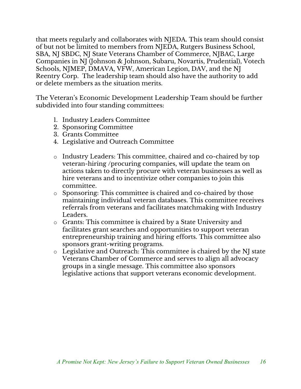that meets regularly and collaborates with NJEDA. This team should consist of but not be limited to members from NJEDA, Rutgers Business School, SBA, NJ SBDC, NJ State Veterans Chamber of Commerce, NJBAC, Large Companies in NJ (Johnson & Johnson, Subaru, Novartis, Prudential), Votech Schools, NJMEP, DMAVA, VFW, American Legion, DAV, and the NJ Reentry Corp. The leadership team should also have the authority to add or delete members as the situation merits.

The Veteran's Economic Development Leadership Team should be further subdivided into four standing committees:

- 1. Industry Leaders Committee
- 2. Sponsoring Committee
- 3. Grants Committee
- 4. Legislative and Outreach Committee
- o Industry Leaders: This committee, chaired and co-chaired by top veteran-hiring /procuring companies, will update the team on actions taken to directly procure with veteran businesses as well as hire veterans and to incentivize other companies to join this committee.
- o Sponsoring: This committee is chaired and co-chaired by those maintaining individual veteran databases. This committee receives referrals from veterans and facilitates matchmaking with Industry Leaders.
- o Grants: This committee is chaired by a State University and facilitates grant searches and opportunities to support veteran entrepreneurship training and hiring efforts. This committee also sponsors grant-writing programs.
- o Legislative and Outreach: This committee is chaired by the NJ state Veterans Chamber of Commerce and serves to align all advocacy groups in a single message. This committee also sponsors legislative actions that support veterans economic development.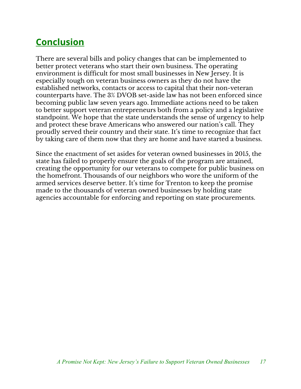## **Conclusion**

There are several bills and policy changes that can be implemented to better protect veterans who start their own business. The operating environment is difficult for most small businesses in New Jersey. It is especially tough on veteran business owners as they do not have the established networks, contacts or access to capital that their non-veteran counterparts have. The 3% DVOB set-aside law has not been enforced since becoming public law seven years ago. Immediate actions need to be taken to better support veteran entrepreneurs both from a policy and a legislative standpoint. We hope that the state understands the sense of urgency to help and protect these brave Americans who answered our nation's call. They proudly served their country and their state. It's time to recognize that fact by taking care of them now that they are home and have started a business.

Since the enactment of set asides for veteran owned businesses in 2015, the state has failed to properly ensure the goals of the program are attained, creating the opportunity for our veterans to compete for public business on the homefront. Thousands of our neighbors who wore the uniform of the armed services deserve better. It's time for Trenton to keep the promise made to the thousands of veteran owned businesses by holding state agencies accountable for enforcing and reporting on state procurements.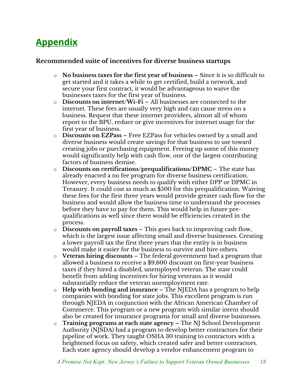## **Appendix**

#### **Recommended suite of incentives for diverse business startups**

- o **No business taxes for the first year of business** Since it is so difficult to get started and it takes a while to get certified, build a network, and secure your first contract, it would be advantageous to waive the businesses taxes for the first year of business.
- o **Discounts on internet/Wi-Fi** All businesses are connected to the internet. These fees are usually very high and can cause stress on a business. Request that these internet providers, almost all of whom report to the BPU, reduce or give incentives for internet usage for the first year of business.
- o **Discounts on EZPass** Free EZPass for vehicles owned by a small and diverse business would create savings for that business to use toward creating jobs or purchasing equipment. Freeing up some of this money would significantly help with cash flow, one of the largest contributing factors of business demise.
- o **Discounts on certifications/prequalifications/DPMC** The state has already enacted a no fee program for diverse business certification. However, every business needs to qualify with either DPP or DPMC in Treasury. It could cost as much as \$500 for this prequalification. Waiving these fees for the first three years would provide greater cash flow for the business and would allow the business time to understand the processes before they have to pay for them. This would help in future prequalifications as well since there would be efficiencies created in the process.
- o **Discounts on payroll taxes**  This goes back to improving cash flow, which is the largest issue affecting small and diverse businesses. Creating a lower payroll tax the first three years that the entity is in business would make it easier for the business to survive and hire others.
- o **Veteran hiring discounts**  The federal government had a program that allowed a business to receive a \$9,600 discount on first-year business taxes if they hired a disabled, unemployed veteran. The state could benefit from adding incentives for hiring veterans as it would substantially reduce the veteran unemployment rate.
- o **Help with bonding and insurance**  The NJEDA has a program to help companies with bonding for state jobs. This excellent program is run through NJEDA in conjunction with the African American Chamber of Commerce. This program or a new program with similar intent should also be created for insurance programs for small and diverse businesses.
- o **Training programs at each state agency –** The NJ School Development Authority (NJSDA) had a program to develop better contractors for their pipeline of work. They taught OSHA 30 training to contractors with a heightened focus on safety, which created safer and better contractors. Each state agency should develop a vendor enhancement program to